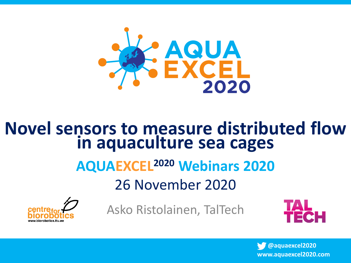

#### **Novel sensors to measure distributed flow in aquaculture sea cages**

#### **AQUAEXCEL<sup>2020</sup> Webinars 2020**

26 November 2020



Asko Ristolainen, TalTech

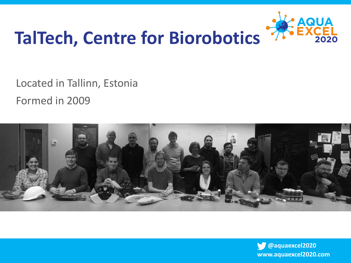

## **TalTech, Centre for Biorobotics**

Located in Tallinn, Estonia Formed in 2009



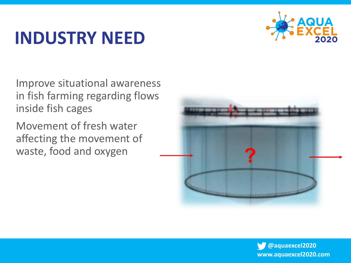### **INDUSTRY NEED**



Improve situational awareness in fish farming regarding flows inside fish cages

Movement of fresh water affecting the movement of waste, food and oxygen



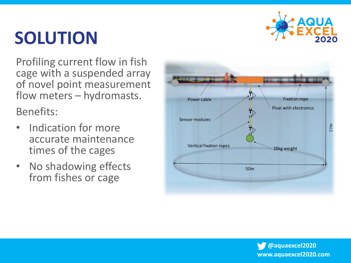

## **SOLUTION**

Profiling current flow in fish cage with a suspended array of novel point measurement flow meters – hydromasts.

Benefits:

- Indication for more accurate maintenance times of the cages
- No shadowing effects from fishes or cage

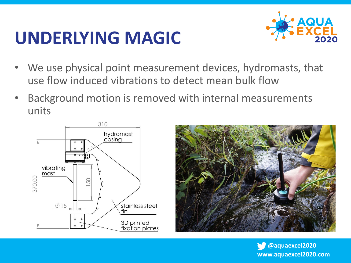#### **UNDERLYING MAGIC**



- We use physical point measurement devices, hydromasts, that use flow induced vibrations to detect mean bulk flow
- Background motion is removed with internal measurements units



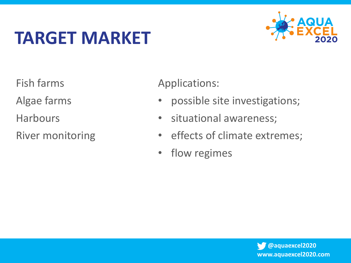## **TARGET MARKET**



Fish farms

Algae farms

**Harbours** 

River monitoring

Applications:

- possible site investigations;
- situational awareness;
- effects of climate extremes;
- flow regimes

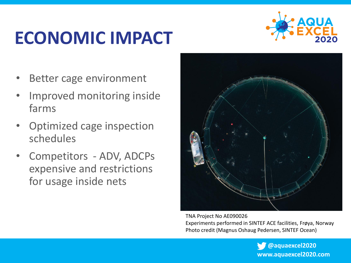## **ECONOMIC IMPACT**



- Better cage environment
- Improved monitoring inside farms
- Optimized cage inspection schedules
- Competitors ADV, ADCPs expensive and restrictions for usage inside nets



TNA Project No AE090026 Experiments performed in SINTEF ACE facilities, Frøya, Norway Photo credit (Magnus Oshaug Pedersen, SINTEF Ocean)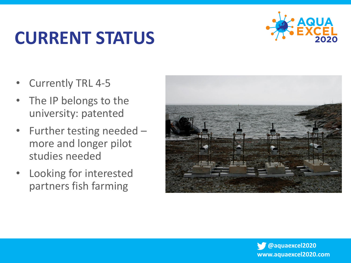## **CURRENT STATUS**



- Currently TRL 4-5
- The IP belongs to the university: patented
- Further testing needed more and longer pilot studies needed
- Looking for interested partners fish farming

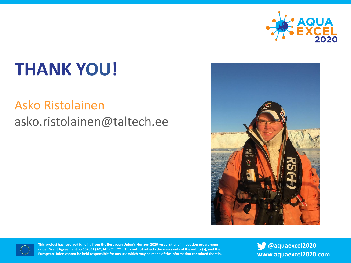

# **THANK YOU!**

#### Asko Ristolainen asko.ristolainen@taltech.ee





**This project has received funding from the European Union's Horizon 2020 research and innovation programme under Grant Agreement no 652831 (AQUAEXCEL<sup>2020</sup>). This output reflects the views only of the author(s), and the European Union cannot be held responsible for any use which may be made of the information contained therein.**